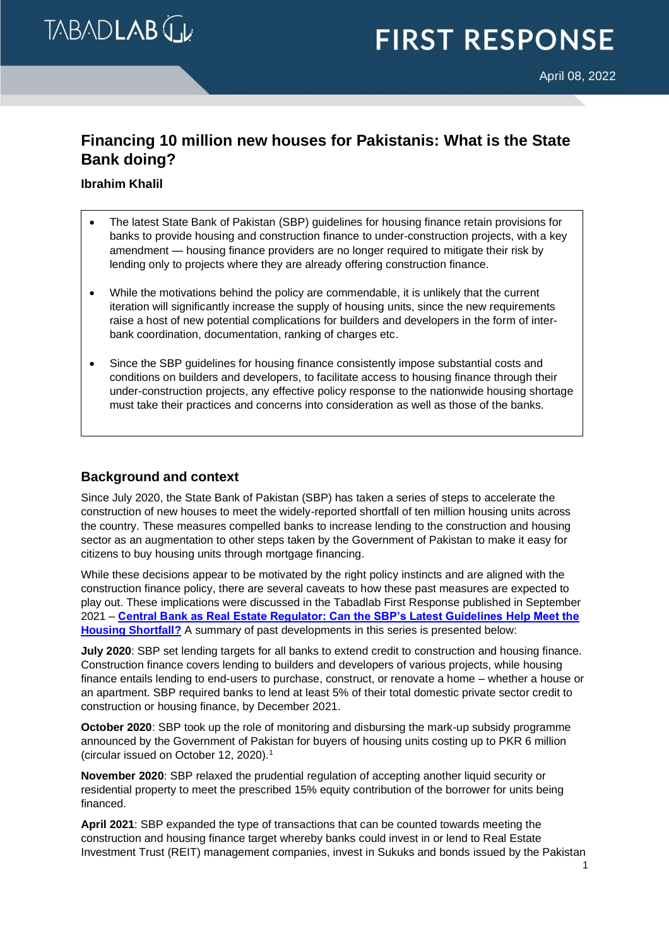# **Financing 10 million new houses for Pakistanis: What is the State Bank doing?**

**Ibrahim Khalil**

- The latest State Bank of Pakistan (SBP) guidelines for housing finance retain provisions for banks to provide housing and construction finance to under-construction projects, with a key amendment — housing finance providers are no longer required to mitigate their risk by lending only to projects where they are already offering construction finance.
- While the motivations behind the policy are commendable, it is unlikely that the current iteration will significantly increase the supply of housing units, since the new requirements raise a host of new potential complications for builders and developers in the form of interbank coordination, documentation, ranking of charges etc.
- Since the SBP guidelines for housing finance consistently impose substantial costs and conditions on builders and developers, to facilitate access to housing finance through their under-construction projects, any effective policy response to the nationwide housing shortage must take their practices and concerns into consideration as well as those of the banks.

## **Background and context**

Since July 2020, the State Bank of Pakistan (SBP) has taken a series of steps to accelerate the construction of new houses to meet the widely-reported shortfall of ten million housing units across the country. These measures compelled banks to increase lending to the construction and housing sector as an augmentation to other steps taken by the Government of Pakistan to make it easy for citizens to buy housing units through mortgage financing.

While these decisions appear to be motivated by the right policy instincts and are aligned with the construction finance policy, there are several caveats to how these past measures are expected to play out. These implications were discussed in the Tabadlab First Response published in September 2021 – **[Central Bank as Real Estate Regulator: Can the SBP's Latest Guidelines Help Meet the](https://tabadlab.com/central-bank-as-real-estate-regulator-can-the-sbps-latest-guidelines-help-meet-the-housing-shortfall/)  [Housing Shortfall?](https://tabadlab.com/central-bank-as-real-estate-regulator-can-the-sbps-latest-guidelines-help-meet-the-housing-shortfall/)** A summary of past developments in this series is presented below:

**July 2020**: SBP set lending targets for all banks to extend credit to construction and housing finance. Construction finance covers lending to builders and developers of various projects, while housing finance entails lending to end-users to purchase, construct, or renovate a home – whether a house or an apartment. SBP required banks to lend at least 5% of their total domestic private sector credit to construction or housing finance, by December 2021.

**October 2020**: SBP took up the role of monitoring and disbursing the mark-up subsidy programme announced by the Government of Pakistan for buyers of housing units costing up to PKR 6 million (circular issued on October 12, 2020).<sup>1</sup>

**November 2020**: SBP relaxed the prudential regulation of accepting another liquid security or residential property to meet the prescribed 15% equity contribution of the borrower for units being financed.

**April 2021**: SBP expanded the type of transactions that can be counted towards meeting the construction and housing finance target whereby banks could invest in or lend to Real Estate Investment Trust (REIT) management companies, invest in Sukuks and bonds issued by the Pakistan

1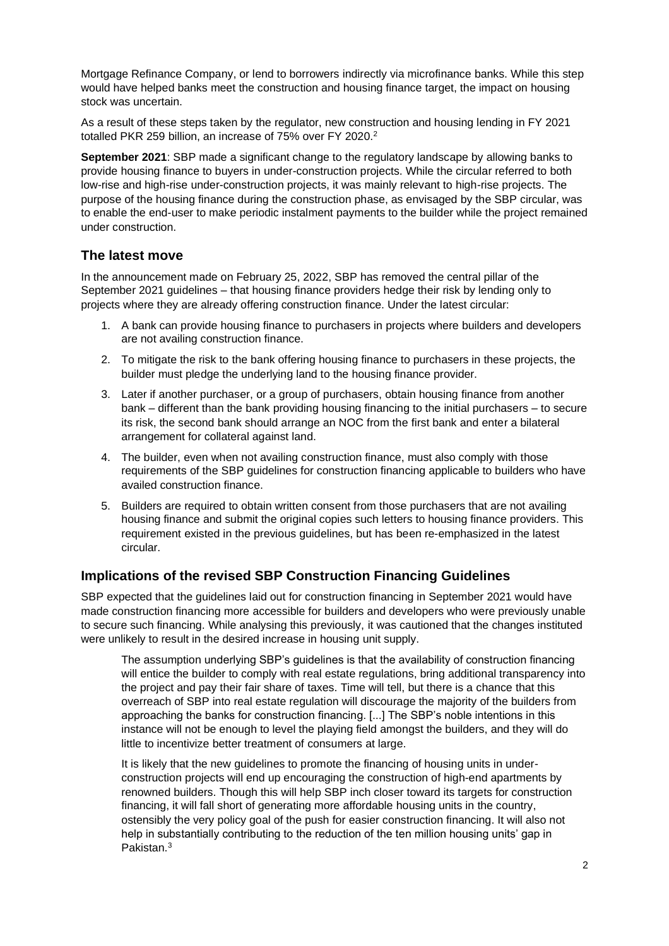Mortgage Refinance Company, or lend to borrowers indirectly via microfinance banks. While this step would have helped banks meet the construction and housing finance target, the impact on housing stock was uncertain.

As a result of these steps taken by the regulator, new construction and housing lending in FY 2021 totalled PKR 259 billion, an increase of 75% over FY 2020.<sup>2</sup>

**September 2021**: SBP made a significant change to the regulatory landscape by allowing banks to provide housing finance to buyers in under-construction projects. While the circular referred to both low-rise and high-rise under-construction projects, it was mainly relevant to high-rise projects. The purpose of the housing finance during the construction phase, as envisaged by the SBP circular, was to enable the end-user to make periodic instalment payments to the builder while the project remained under construction.

### **The latest move**

In the announcement made on February 25, 2022, SBP has removed the central pillar of the September 2021 guidelines – that housing finance providers hedge their risk by lending only to projects where they are already offering construction finance. Under the latest circular:

- 1. A bank can provide housing finance to purchasers in projects where builders and developers are not availing construction finance.
- 2. To mitigate the risk to the bank offering housing finance to purchasers in these projects, the builder must pledge the underlying land to the housing finance provider.
- 3. Later if another purchaser, or a group of purchasers, obtain housing finance from another bank – different than the bank providing housing financing to the initial purchasers – to secure its risk, the second bank should arrange an NOC from the first bank and enter a bilateral arrangement for collateral against land.
- 4. The builder, even when not availing construction finance, must also comply with those requirements of the SBP guidelines for construction financing applicable to builders who have availed construction finance.
- 5. Builders are required to obtain written consent from those purchasers that are not availing housing finance and submit the original copies such letters to housing finance providers. This requirement existed in the previous guidelines, but has been re-emphasized in the latest circular.

### **Implications of the revised SBP Construction Financing Guidelines**

SBP expected that the guidelines laid out for construction financing in September 2021 would have made construction financing more accessible for builders and developers who were previously unable to secure such financing. While analysing this previously, it was cautioned that the changes instituted were unlikely to result in the desired increase in housing unit supply.

The assumption underlying SBP's guidelines is that the availability of construction financing will entice the builder to comply with real estate regulations, bring additional transparency into the project and pay their fair share of taxes. Time will tell, but there is a chance that this overreach of SBP into real estate regulation will discourage the majority of the builders from approaching the banks for construction financing. [...] The SBP's noble intentions in this instance will not be enough to level the playing field amongst the builders, and they will do little to incentivize better treatment of consumers at large.

It is likely that the new guidelines to promote the financing of housing units in underconstruction projects will end up encouraging the construction of high-end apartments by renowned builders. Though this will help SBP inch closer toward its targets for construction financing, it will fall short of generating more affordable housing units in the country, ostensibly the very policy goal of the push for easier construction financing. It will also not help in substantially contributing to the reduction of the ten million housing units' gap in Pakistan.3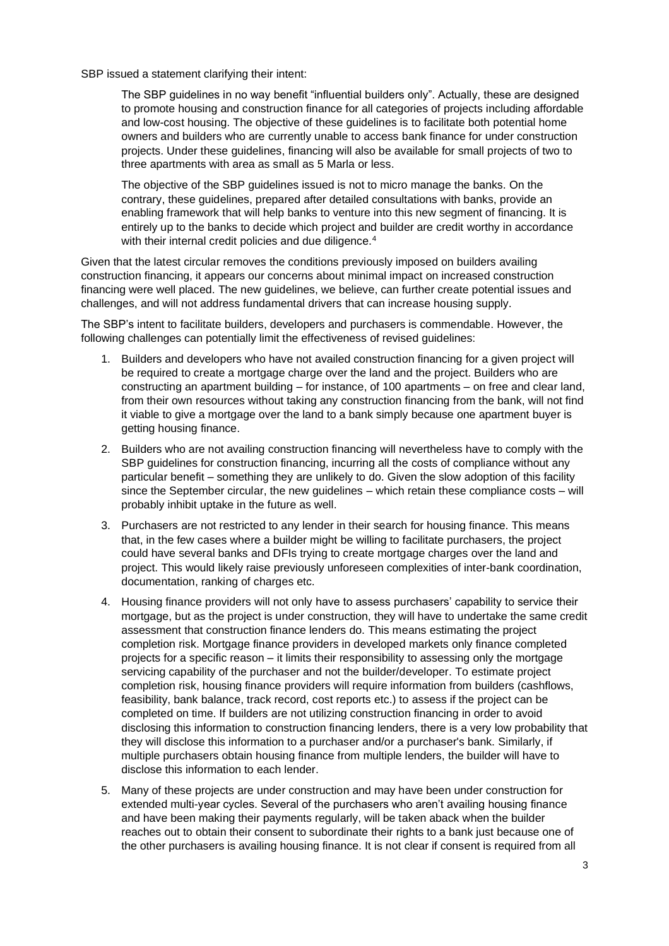SBP issued a statement clarifying their intent:

The SBP guidelines in no way benefit "influential builders only". Actually, these are designed to promote housing and construction finance for all categories of projects including affordable and low-cost housing. The objective of these guidelines is to facilitate both potential home owners and builders who are currently unable to access bank finance for under construction projects. Under these guidelines, financing will also be available for small projects of two to three apartments with area as small as 5 Marla or less.

The objective of the SBP guidelines issued is not to micro manage the banks. On the contrary, these guidelines, prepared after detailed consultations with banks, provide an enabling framework that will help banks to venture into this new segment of financing. It is entirely up to the banks to decide which project and builder are credit worthy in accordance with their internal credit policies and due diligence.<sup>4</sup>

Given that the latest circular removes the conditions previously imposed on builders availing construction financing, it appears our concerns about minimal impact on increased construction financing were well placed. The new guidelines, we believe, can further create potential issues and challenges, and will not address fundamental drivers that can increase housing supply.

The SBP's intent to facilitate builders, developers and purchasers is commendable. However, the following challenges can potentially limit the effectiveness of revised guidelines:

- 1. Builders and developers who have not availed construction financing for a given project will be required to create a mortgage charge over the land and the project. Builders who are constructing an apartment building – for instance, of 100 apartments – on free and clear land, from their own resources without taking any construction financing from the bank, will not find it viable to give a mortgage over the land to a bank simply because one apartment buyer is getting housing finance.
- 2. Builders who are not availing construction financing will nevertheless have to comply with the SBP guidelines for construction financing, incurring all the costs of compliance without any particular benefit – something they are unlikely to do. Given the slow adoption of this facility since the September circular, the new guidelines – which retain these compliance costs – will probably inhibit uptake in the future as well.
- 3. Purchasers are not restricted to any lender in their search for housing finance. This means that, in the few cases where a builder might be willing to facilitate purchasers, the project could have several banks and DFIs trying to create mortgage charges over the land and project. This would likely raise previously unforeseen complexities of inter-bank coordination, documentation, ranking of charges etc.
- 4. Housing finance providers will not only have to assess purchasers' capability to service their mortgage, but as the project is under construction, they will have to undertake the same credit assessment that construction finance lenders do. This means estimating the project completion risk. Mortgage finance providers in developed markets only finance completed projects for a specific reason – it limits their responsibility to assessing only the mortgage servicing capability of the purchaser and not the builder/developer. To estimate project completion risk, housing finance providers will require information from builders (cashflows, feasibility, bank balance, track record, cost reports etc.) to assess if the project can be completed on time. If builders are not utilizing construction financing in order to avoid disclosing this information to construction financing lenders, there is a very low probability that they will disclose this information to a purchaser and/or a purchaser's bank. Similarly, if multiple purchasers obtain housing finance from multiple lenders, the builder will have to disclose this information to each lender.
- 5. Many of these projects are under construction and may have been under construction for extended multi-year cycles. Several of the purchasers who aren't availing housing finance and have been making their payments regularly, will be taken aback when the builder reaches out to obtain their consent to subordinate their rights to a bank just because one of the other purchasers is availing housing finance. It is not clear if consent is required from all